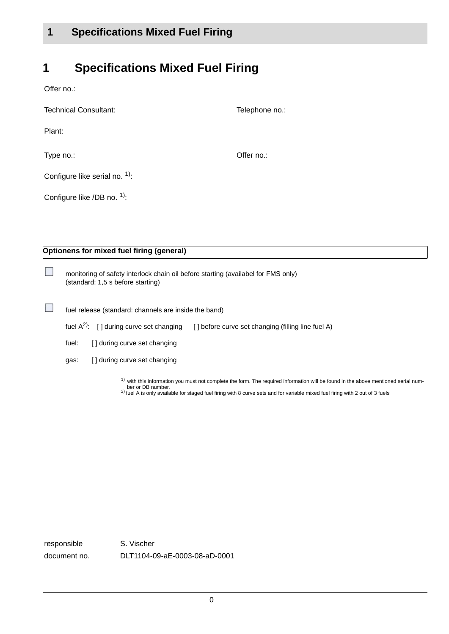### **1 Specifications Mixed Fuel Firing**

## **1 Specifications Mixed Fuel Firing**

П

П

| Technical Consultant:           | Telephone no.: |
|---------------------------------|----------------|
| Plant:                          |                |
| Type no.:                       | Offer no.:     |
| Configure like serial no. $1$ . |                |
| Configure like /DB no. 1):      |                |

**Optionens for mixed fuel firing (general)**

monitoring of safety interlock chain oil before starting (availabel for FMS only) (standard: 1,5 s before starting)

| fuel release (standard: channels are inside the band) |  |  |  |  |  |  |
|-------------------------------------------------------|--|--|--|--|--|--|
|-------------------------------------------------------|--|--|--|--|--|--|

| fuel $A^{2}$ : [] during curve set changing [] before curve set changing (filling line fuel A) |  |
|------------------------------------------------------------------------------------------------|--|

fuel: [] during curve set changing

gas: [ ] during curve set changing

 $1)$  with this information you must not complete the form. The required information will be found in the above mentioned serial num-

ber or DB number.<br><sup>2)</sup> fuel A is only available for staged fuel firing with 8 curve sets and for variable mixed fuel firing with 2 out of 3 fuels

responsible S. Vischer document no. DLT1104-09-aE-0003-08-aD-0001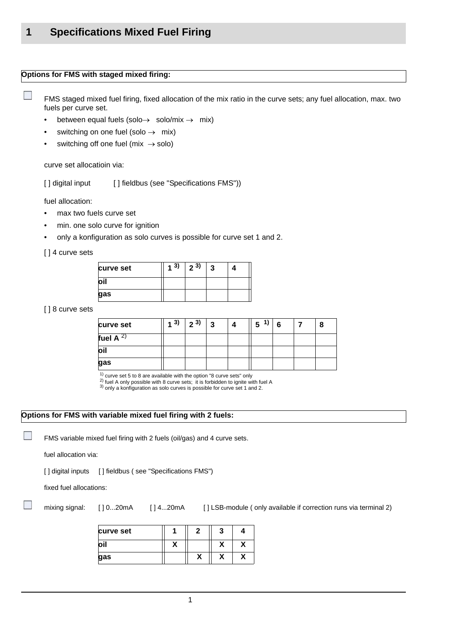#### **Options for FMS with staged mixed firing:**

FMS staged mixed fuel firing, fixed allocation of the mix ratio in the curve sets; any fuel allocation, max. two fuels per curve set.

- between equal fuels (solo $\rightarrow$  solo/mix  $\rightarrow$  mix)
- switching on one fuel (solo  $\rightarrow$  mix)
- switching off one fuel (mix  $\rightarrow$  solo)

curve set allocatioin via:

[] digital input [] fieldbus (see "Specifications FMS"))

fuel allocation:

P.

- max two fuels curve set
- min. one solo curve for ignition
- only a konfiguration as solo curves is possible for curve set 1 and 2.

[ ] 4 curve sets

| curve set | 3) | $2^{3}$ | 3 |  |
|-----------|----|---------|---|--|
| loil      |    |         |   |  |
| gas       |    |         |   |  |

[ ] 8 curve sets

| curve set      | (3) | 23) | 3 | Δ | 1)<br>5 <sup>5</sup> | -6 |  |
|----------------|-----|-----|---|---|----------------------|----|--|
| fuel A $^{2)}$ |     |     |   |   |                      |    |  |
| oil            |     |     |   |   |                      |    |  |
| gas            |     |     |   |   |                      |    |  |

 $1)$  curve set 5 to 8 are available with the option "8 curve sets" only

<sup>2</sup>) fuel A only possible with 8 curve sets; it is forbidden to ignite with fuel A

3) only a konfiguration as solo curves is possible for curve set 1 and 2.

#### **Options for FMS with variable mixed fuel firing with 2 fuels:**

FMS variable mixed fuel firing with 2 fuels (oil/gas) and 4 curve sets.

fuel allocation via:

[] digital inputs [] fieldbus (see "Specifications FMS")

fixed fuel allocations:

n

mixing signal: [ ] 0...20mA [ ] 4...20mA [ ] LSB-module ( only available if correction runs via terminal 2)

| curve set | כי |   |
|-----------|----|---|
|           |    | π |
| gas       |    |   |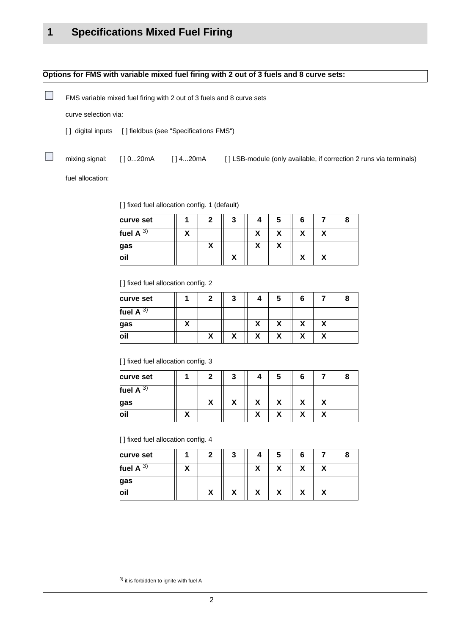#### **Options for FMS with variable mixed fuel firing with 2 out of 3 fuels and 8 curve sets:**

FMS variable mixed fuel firing with 2 out of 3 fuels and 8 curve sets

curve selection via:

[] digital inputs [] fieldbus (see "Specifications FMS")

n

П

mixing signal: [ ] 0...20mA [ ] 4...20mA [ ] LSB-module (only available, if correction 2 runs via terminals)

fuel allocation:

[] fixed fuel allocation config. 1 (default)

| curve set      |  | - 1 | э |  |  |
|----------------|--|-----|---|--|--|
| fuel A<br>. ა, |  |     |   |  |  |
| gas            |  |     |   |  |  |
| loil           |  |     |   |  |  |

[] fixed fuel allocation config. 2

| curve set      |  | - 1 |  |  |  |
|----------------|--|-----|--|--|--|
| fuel A<br>. ა, |  |     |  |  |  |
| gas            |  |     |  |  |  |
| oil            |  |     |  |  |  |

[ ] fixed fuel allocation config. 3

| curve set   | ົ | - 1 | G |  |  |
|-------------|---|-----|---|--|--|
| fuel A $3)$ |   |     |   |  |  |
| gas         |   |     |   |  |  |
| loil        |   |     |   |  |  |

[ ] fixed fuel allocation config. 4

| curve set    | 2 | 3 | э |  |  |
|--------------|---|---|---|--|--|
| fuel A<br>J, |   |   |   |  |  |
| gas          |   |   |   |  |  |
| loil         |   |   |   |  |  |

3) it is forbidden to ignite with fuel A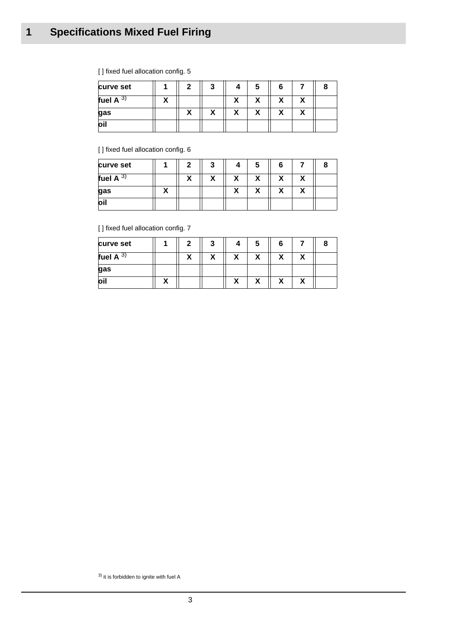# **1 Specifications Mixed Fuel Firing**

| curve set   |   | 3 | 5 | 6      | я |
|-------------|---|---|---|--------|---|
| fuel A $3)$ |   |   | Λ | Λ      |   |
| gas         | Λ | Λ | Λ | v<br>Λ |   |
| loil        |   |   |   |        |   |

[] fixed fuel allocation config. 5

[] fixed fuel allocation config. 6

| curve set    |   | 2 | 3       |                     | э      | 6       |  |
|--------------|---|---|---------|---------------------|--------|---------|--|
| fuel A<br>ა, |   | v | 10<br>" | v<br>Λ              | v<br>Λ | v<br>Λ  |  |
| gas          | ` |   |         | $\blacksquare$<br>A | Λ      | 10<br>Λ |  |
| oil          |   |   |         |                     |        |         |  |

[] fixed fuel allocation config. 7

| curve set     | າ |        |        |   | 6 |  |
|---------------|---|--------|--------|---|---|--|
| fuel A<br>ຸບ) |   | v<br>↗ | w      | v |   |  |
| gas           |   |        |        |   |   |  |
| loil          |   |        | `<br>A | Λ |   |  |

3) it is forbidden to ignite with fuel A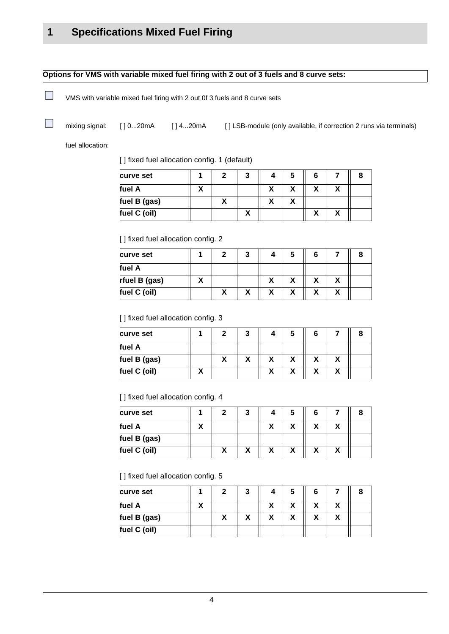### **Options for VMS with variable mixed fuel firing with 2 out of 3 fuels and 8 curve sets:**

VMS with variable mixed fuel firing with 2 out 0f 3 fuels and 8 curve sets

mixing signal: [ ] 0...20mA [ ] 4...20mA [ ] LSB-module (only available, if correction 2 runs via terminals)

fuel allocation:

 $\overline{\phantom{a}}$ 

N.

[] fixed fuel allocation config. 1 (default)

| curve set    |   | ◠ | 3              | 4 | C |  |  |
|--------------|---|---|----------------|---|---|--|--|
| fuel A       | M |   |                | v | v |  |  |
| fuel B (gas) |   |   |                |   |   |  |  |
| fuel C (oil) |   |   | $\bullet$<br>n |   |   |  |  |

[] fixed fuel allocation config. 2

| curve set     | 2 | 3 |  | 'n |  |
|---------------|---|---|--|----|--|
| fuel A        |   |   |  |    |  |
| rfuel B (gas) |   |   |  |    |  |
| fuel C (oil)  |   | Λ |  | v  |  |

[] fixed fuel allocation config. 3

| curve set    |  |  |              |  |
|--------------|--|--|--------------|--|
| fuel A       |  |  |              |  |
| fuel B (gas) |  |  | $\mathbf{r}$ |  |
| fuel C (oil) |  |  |              |  |

[ ] fixed fuel allocation config. 4

| curve set    |   | 7 | 3            | э | 6 |  |
|--------------|---|---|--------------|---|---|--|
| fuel A       | w |   |              |   |   |  |
| fuel B (gas) |   |   |              |   |   |  |
| fuel C (oil) |   |   | $\mathbf{r}$ |   |   |  |

[] fixed fuel allocation config. 5

| curve set    |  |  | э |              |  |
|--------------|--|--|---|--------------|--|
| fuel A       |  |  |   |              |  |
| fuel B (gas) |  |  |   | $\mathbf{v}$ |  |
| fuel C (oil) |  |  |   |              |  |